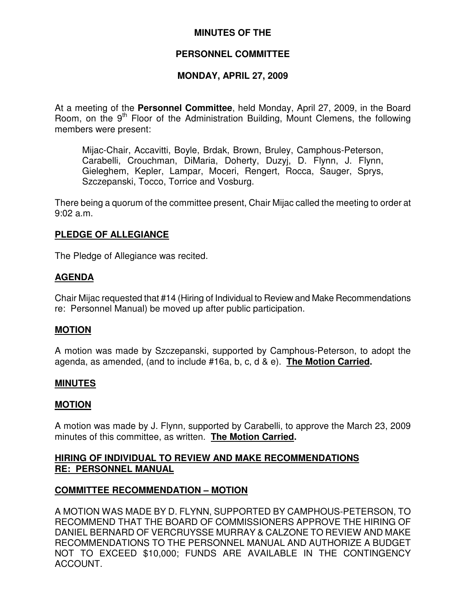# **MINUTES OF THE**

# **PERSONNEL COMMITTEE**

# **MONDAY, APRIL 27, 2009**

At a meeting of the **Personnel Committee**, held Monday, April 27, 2009, in the Board Room, on the 9<sup>th</sup> Floor of the Administration Building, Mount Clemens, the following members were present:

Mijac-Chair, Accavitti, Boyle, Brdak, Brown, Bruley, Camphous-Peterson, Carabelli, Crouchman, DiMaria, Doherty, Duzyj, D. Flynn, J. Flynn, Gieleghem, Kepler, Lampar, Moceri, Rengert, Rocca, Sauger, Sprys, Szczepanski, Tocco, Torrice and Vosburg.

There being a quorum of the committee present, Chair Mijac called the meeting to order at 9:02 a.m.

# **PLEDGE OF ALLEGIANCE**

The Pledge of Allegiance was recited.

# **AGENDA**

Chair Mijac requested that #14 (Hiring of Individual to Review and Make Recommendations re: Personnel Manual) be moved up after public participation.

# **MOTION**

A motion was made by Szczepanski, supported by Camphous-Peterson, to adopt the agenda, as amended, (and to include #16a, b, c, d & e). **The Motion Carried.**

# **MINUTES**

#### **MOTION**

A motion was made by J. Flynn, supported by Carabelli, to approve the March 23, 2009 minutes of this committee, as written. **The Motion Carried.**

# **HIRING OF INDIVIDUAL TO REVIEW AND MAKE RECOMMENDATIONS RE: PERSONNEL MANUAL**

# **COMMITTEE RECOMMENDATION – MOTION**

A MOTION WAS MADE BY D. FLYNN, SUPPORTED BY CAMPHOUS-PETERSON, TO RECOMMEND THAT THE BOARD OF COMMISSIONERS APPROVE THE HIRING OF DANIEL BERNARD OF VERCRUYSSE MURRAY & CALZONE TO REVIEW AND MAKE RECOMMENDATIONS TO THE PERSONNEL MANUAL AND AUTHORIZE A BUDGET NOT TO EXCEED \$10,000; FUNDS ARE AVAILABLE IN THE CONTINGENCY ACCOUNT.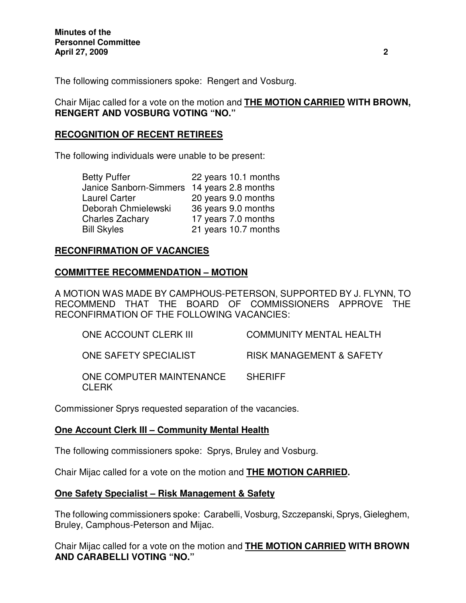The following commissioners spoke: Rengert and Vosburg.

Chair Mijac called for a vote on the motion and **THE MOTION CARRIED WITH BROWN, RENGERT AND VOSBURG VOTING "NO."**

# **RECOGNITION OF RECENT RETIREES**

The following individuals were unable to be present:

| 22 years 10.1 months |
|----------------------|
| 14 years 2.8 months  |
| 20 years 9.0 months  |
| 36 years 9.0 months  |
| 17 years 7.0 months  |
| 21 years 10.7 months |
|                      |

# **RECONFIRMATION OF VACANCIES**

# **COMMITTEE RECOMMENDATION – MOTION**

A MOTION WAS MADE BY CAMPHOUS-PETERSON, SUPPORTED BY J. FLYNN, TO RECOMMEND THAT THE BOARD OF COMMISSIONERS APPROVE THE RECONFIRMATION OF THE FOLLOWING VACANCIES:

| ONE ACCOUNT CLERK III                    | <b>COMMUNITY MENTAL HEALTH</b>      |
|------------------------------------------|-------------------------------------|
| ONE SAFETY SPECIALIST                    | <b>RISK MANAGEMENT &amp; SAFETY</b> |
| ONE COMPUTER MAINTENANCE<br><b>CLERK</b> | <b>SHERIFF</b>                      |

Commissioner Sprys requested separation of the vacancies.

# **One Account Clerk III – Community Mental Health**

The following commissioners spoke: Sprys, Bruley and Vosburg.

Chair Mijac called for a vote on the motion and **THE MOTION CARRIED.**

# **One Safety Specialist – Risk Management & Safety**

The following commissioners spoke: Carabelli, Vosburg, Szczepanski, Sprys, Gieleghem, Bruley, Camphous-Peterson and Mijac.

Chair Mijac called for a vote on the motion and **THE MOTION CARRIED WITH BROWN AND CARABELLI VOTING "NO."**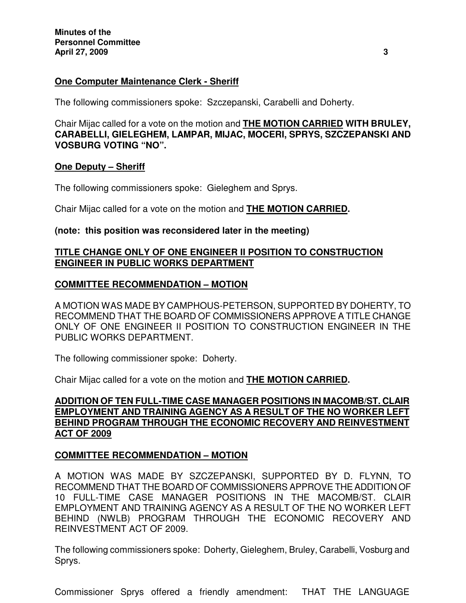# **One Computer Maintenance Clerk - Sheriff**

The following commissioners spoke: Szczepanski, Carabelli and Doherty.

Chair Mijac called for a vote on the motion and **THE MOTION CARRIED WITH BRULEY, CARABELLI, GIELEGHEM, LAMPAR, MIJAC, MOCERI, SPRYS, SZCZEPANSKI AND VOSBURG VOTING "NO".**

#### **One Deputy – Sheriff**

The following commissioners spoke: Gieleghem and Sprys.

Chair Mijac called for a vote on the motion and **THE MOTION CARRIED.**

#### **(note: this position was reconsidered later in the meeting)**

# **TITLE CHANGE ONLY OF ONE ENGINEER II POSITION TO CONSTRUCTION ENGINEER IN PUBLIC WORKS DEPARTMENT**

#### **COMMITTEE RECOMMENDATION – MOTION**

A MOTION WAS MADE BY CAMPHOUS-PETERSON, SUPPORTED BY DOHERTY, TO RECOMMEND THAT THE BOARD OF COMMISSIONERS APPROVE A TITLE CHANGE ONLY OF ONE ENGINEER II POSITION TO CONSTRUCTION ENGINEER IN THE PUBLIC WORKS DEPARTMENT.

The following commissioner spoke: Doherty.

Chair Mijac called for a vote on the motion and **THE MOTION CARRIED.**

# **ADDITION OF TEN FULL-TIME CASE MANAGER POSITIONS IN MACOMB/ST. CLAIR EMPLOYMENT AND TRAINING AGENCY AS A RESULT OF THE NO WORKER LEFT BEHIND PROGRAM THROUGH THE ECONOMIC RECOVERY AND REINVESTMENT ACT OF 2009**

# **COMMITTEE RECOMMENDATION – MOTION**

A MOTION WAS MADE BY SZCZEPANSKI, SUPPORTED BY D. FLYNN, TO RECOMMEND THAT THE BOARD OF COMMISSIONERS APPROVE THE ADDITION OF 10 FULL-TIME CASE MANAGER POSITIONS IN THE MACOMB/ST. CLAIR EMPLOYMENT AND TRAINING AGENCY AS A RESULT OF THE NO WORKER LEFT BEHIND (NWLB) PROGRAM THROUGH THE ECONOMIC RECOVERY AND REINVESTMENT ACT OF 2009.

The following commissioners spoke: Doherty, Gieleghem, Bruley, Carabelli, Vosburg and Sprys.

Commissioner Sprys offered a friendly amendment: THAT THE LANGUAGE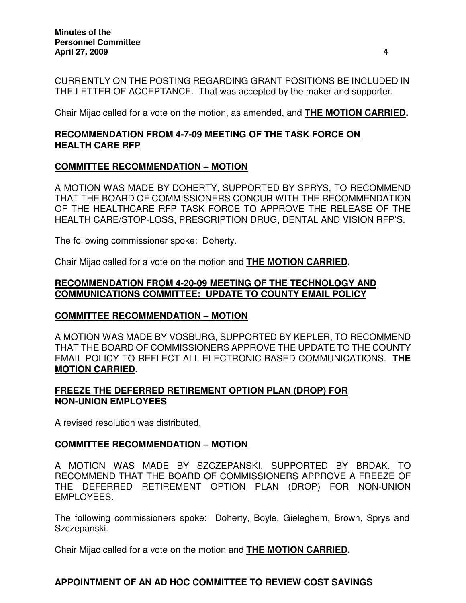CURRENTLY ON THE POSTING REGARDING GRANT POSITIONS BE INCLUDED IN THE LETTER OF ACCEPTANCE. That was accepted by the maker and supporter.

Chair Mijac called for a vote on the motion, as amended, and **THE MOTION CARRIED.**

# **RECOMMENDATION FROM 4-7-09 MEETING OF THE TASK FORCE ON HEALTH CARE RFP**

# **COMMITTEE RECOMMENDATION – MOTION**

A MOTION WAS MADE BY DOHERTY, SUPPORTED BY SPRYS, TO RECOMMEND THAT THE BOARD OF COMMISSIONERS CONCUR WITH THE RECOMMENDATION OF THE HEALTHCARE RFP TASK FORCE TO APPROVE THE RELEASE OF THE HEALTH CARE/STOP-LOSS, PRESCRIPTION DRUG, DENTAL AND VISION RFP'S.

The following commissioner spoke: Doherty.

Chair Mijac called for a vote on the motion and **THE MOTION CARRIED.**

# **RECOMMENDATION FROM 4-20-09 MEETING OF THE TECHNOLOGY AND COMMUNICATIONS COMMITTEE: UPDATE TO COUNTY EMAIL POLICY**

# **COMMITTEE RECOMMENDATION – MOTION**

A MOTION WAS MADE BY VOSBURG, SUPPORTED BY KEPLER, TO RECOMMEND THAT THE BOARD OF COMMISSIONERS APPROVE THE UPDATE TO THE COUNTY EMAIL POLICY TO REFLECT ALL ELECTRONIC-BASED COMMUNICATIONS. **THE MOTION CARRIED.**

# **FREEZE THE DEFERRED RETIREMENT OPTION PLAN (DROP) FOR NON-UNION EMPLOYEES**

A revised resolution was distributed.

# **COMMITTEE RECOMMENDATION – MOTION**

A MOTION WAS MADE BY SZCZEPANSKI, SUPPORTED BY BRDAK, TO RECOMMEND THAT THE BOARD OF COMMISSIONERS APPROVE A FREEZE OF THE DEFERRED RETIREMENT OPTION PLAN (DROP) FOR NON-UNION EMPLOYEES.

The following commissioners spoke: Doherty, Boyle, Gieleghem, Brown, Sprys and Szczepanski.

Chair Mijac called for a vote on the motion and **THE MOTION CARRIED.**

# **APPOINTMENT OF AN AD HOC COMMITTEE TO REVIEW COST SAVINGS**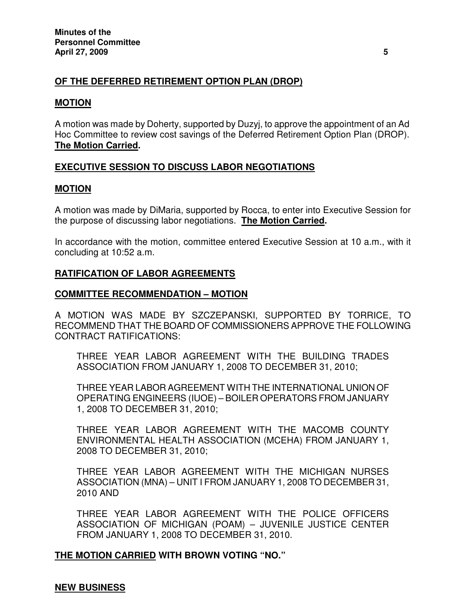# **OF THE DEFERRED RETIREMENT OPTION PLAN (DROP)**

### **MOTION**

A motion was made by Doherty, supported by Duzyj, to approve the appointment of an Ad Hoc Committee to review cost savings of the Deferred Retirement Option Plan (DROP). **The Motion Carried.**

# **EXECUTIVE SESSION TO DISCUSS LABOR NEGOTIATIONS**

#### **MOTION**

A motion was made by DiMaria, supported by Rocca, to enter into Executive Session for the purpose of discussing labor negotiations. **The Motion Carried.**

In accordance with the motion, committee entered Executive Session at 10 a.m., with it concluding at 10:52 a.m.

# **RATIFICATION OF LABOR AGREEMENTS**

#### **COMMITTEE RECOMMENDATION – MOTION**

A MOTION WAS MADE BY SZCZEPANSKI, SUPPORTED BY TORRICE, TO RECOMMEND THAT THE BOARD OF COMMISSIONERS APPROVE THE FOLLOWING CONTRACT RATIFICATIONS:

THREE YEAR LABOR AGREEMENT WITH THE BUILDING TRADES ASSOCIATION FROM JANUARY 1, 2008 TO DECEMBER 31, 2010;

THREE YEAR LABOR AGREEMENT WITH THE INTERNATIONAL UNION OF OPERATING ENGINEERS (IUOE) – BOILER OPERATORS FROM JANUARY 1, 2008 TO DECEMBER 31, 2010;

THREE YEAR LABOR AGREEMENT WITH THE MACOMB COUNTY ENVIRONMENTAL HEALTH ASSOCIATION (MCEHA) FROM JANUARY 1, 2008 TO DECEMBER 31, 2010;

THREE YEAR LABOR AGREEMENT WITH THE MICHIGAN NURSES ASSOCIATION (MNA) – UNIT I FROM JANUARY 1, 2008 TO DECEMBER 31, 2010 AND

THREE YEAR LABOR AGREEMENT WITH THE POLICE OFFICERS ASSOCIATION OF MICHIGAN (POAM) – JUVENILE JUSTICE CENTER FROM JANUARY 1, 2008 TO DECEMBER 31, 2010.

**THE MOTION CARRIED WITH BROWN VOTING "NO."**

# **NEW BUSINESS**